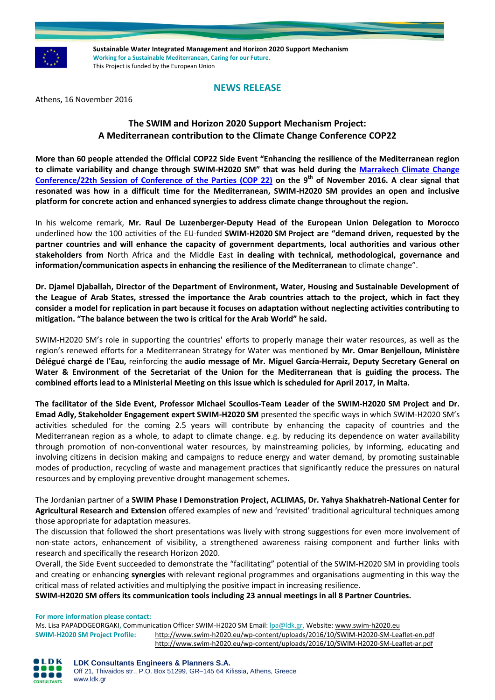

**Sustainable Water Integrated Management and Horizon 2020 Support Mechanism Working for a Sustainable Mediterranean, Caring for our Future.**  This Project is funded by the European Union

## **NEWS RELEASE**

Athens, 16 November 2016

# **The SWIM and Horizon 2020 Support Mechanism Project: A Mediterranean contribution to the Climate Change Conference COP22**

**More than 60 people attended the Official COP22 Side Event "Enhancing the resilience of the Mediterranean region to climate variability and change through SWIM-H2020 SM" that was held during the [Marrakech Climate Change](http://www.swim-h2020.eu/marrakech-climate-change-conference-22th-session-of-conference-of-the-parties-cop-22/)  [Conference/22th Session of Conference of the Parties \(COP 22\)](http://www.swim-h2020.eu/marrakech-climate-change-conference-22th-session-of-conference-of-the-parties-cop-22/) on the 9 th of November 2016. A clear signal that resonated was how in a difficult time for the Mediterranean, SWIM-H2020 SM provides an open and inclusive platform for concrete action and enhanced synergies to address climate change throughout the region.**

In his welcome remark, **Mr. Raul De Luzenberger-Deputy Head of the European Union Delegation to Morocco** underlined how the 100 activities of the EU-funded **SWIM-H2020 SM Project are "demand driven, requested by the partner countries and will enhance the capacity of government departments, local authorities and various other stakeholders from** North Africa and the Middle East **in dealing with technical, methodological, governance and information/communication aspects in enhancing the resilience of the Mediterranean** to climate change".

**Dr. Djamel Djaballah, Director of the Department of Environment, Water, Housing and Sustainable Development of the League of Arab States, stressed the importance the Arab countries attach to the project, which in fact they consider a model for replication in part because it focuses on adaptation without neglecting activities contributing to mitigation. "The balance between the two is critical for the Arab World" he said.**

SWIM-H2020 SM's role in supporting the countries' efforts to properly manage their water resources, as well as the region's renewed efforts for a Mediterranean Strategy for Water was mentioned by **Mr. Omar Benjelloun, Ministère Délégué chargé de l'Eau,** reinforcing the **audio message of Mr. Miguel García-Herraiz, Deputy Secretary General on Water & Environment of the Secretariat of the Union for the Mediterranean that is guiding the process. The combined efforts lead to a Ministerial Meeting on this issue which is scheduled for April 2017, in Malta.**

**The facilitator of the Side Event, Professor Michael Scoullos-Team Leader of the SWIM-H2020 SM Project and Dr. Emad Adly, Stakeholder Engagement expert SWIM-H2020 SM** presented the specific ways in which SWIM-H2020 SM's activities scheduled for the coming 2.5 years will contribute by enhancing the capacity of countries and the Mediterranean region as a whole, to adapt to climate change. e.g. by reducing its dependence on water availability through promotion of non-conventional water resources, by mainstreaming policies, by informing, educating and involving citizens in decision making and campaigns to reduce energy and water demand, by promoting sustainable modes of production, recycling of waste and management practices that significantly reduce the pressures on natural resources and by employing preventive drought management schemes.

The Jordanian partner of a **SWIM Phase I Demonstration Project, ACLIMAS, Dr. Yahya Shakhatreh-National Center for Agricultural Research and Extension** offered examples of new and 'revisited' traditional agricultural techniques among those appropriate for adaptation measures.

The discussion that followed the short presentations was lively with strong suggestions for even more involvement of non-state actors, enhancement of visibility, a strengthened awareness raising component and further links with research and specifically the research Horizon 2020.

Overall, the Side Event succeeded to demonstrate the "facilitating" potential of the SWIM-H2020 SM in providing tools and creating or enhancing **synergies** with relevant regional programmes and organisations augmenting in this way the critical mass of related activities and multiplying the positive impact in increasing resilience.

**SWIM-H2020 SM offers its communication tools including 23 annual meetings in all 8 Partner Countries.**

**For more information please contact:** 

Ms. Lisa PAPADOGEORGAKI**,** Communication Officer SWIM-H2020 SM Email[: lpa@ldk.gr,](mailto:lpa@ldk.gr) Website: [www.swim-h2020.eu](http://www.swim-h2020.eu/) **SWIM-H2020 SM Project Profile:** <http://www.swim-h2020.eu/wp-content/uploads/2016/10/SWIM-H2020-SM-Leaflet-en.pdf> <http://www.swim-h2020.eu/wp-content/uploads/2016/10/SWIM-H2020-SM-Leaflet-ar.pdf>